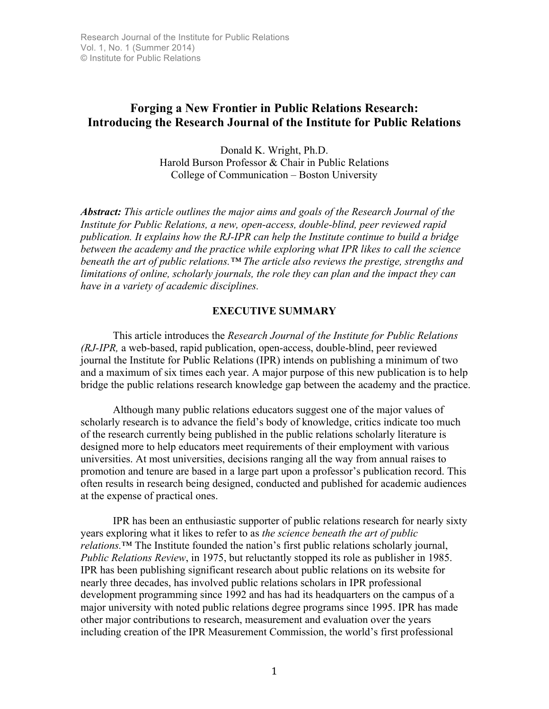# **Forging a New Frontier in Public Relations Research: Introducing the Research Journal of the Institute for Public Relations**

Donald K. Wright, Ph.D. Harold Burson Professor & Chair in Public Relations College of Communication – Boston University

*Abstract: This article outlines the major aims and goals of the Research Journal of the Institute for Public Relations, a new, open-access, double-blind, peer reviewed rapid publication. It explains how the RJ-IPR can help the Institute continue to build a bridge between the academy and the practice while exploring what IPR likes to call the science beneath the art of public relations.™ The article also reviews the prestige, strengths and limitations of online, scholarly journals, the role they can plan and the impact they can have in a variety of academic disciplines.*

## **EXECUTIVE SUMMARY**

This article introduces the *Research Journal of the Institute for Public Relations (RJ-IPR,* a web-based, rapid publication, open-access, double-blind, peer reviewed journal the Institute for Public Relations (IPR) intends on publishing a minimum of two and a maximum of six times each year. A major purpose of this new publication is to help bridge the public relations research knowledge gap between the academy and the practice.

Although many public relations educators suggest one of the major values of scholarly research is to advance the field's body of knowledge, critics indicate too much of the research currently being published in the public relations scholarly literature is designed more to help educators meet requirements of their employment with various universities. At most universities, decisions ranging all the way from annual raises to promotion and tenure are based in a large part upon a professor's publication record. This often results in research being designed, conducted and published for academic audiences at the expense of practical ones.

IPR has been an enthusiastic supporter of public relations research for nearly sixty years exploring what it likes to refer to as *the science beneath the art of public relations.*™ The Institute founded the nation's first public relations scholarly journal, *Public Relations Review*, in 1975, but reluctantly stopped its role as publisher in 1985. IPR has been publishing significant research about public relations on its website for nearly three decades, has involved public relations scholars in IPR professional development programming since 1992 and has had its headquarters on the campus of a major university with noted public relations degree programs since 1995. IPR has made other major contributions to research, measurement and evaluation over the years including creation of the IPR Measurement Commission, the world's first professional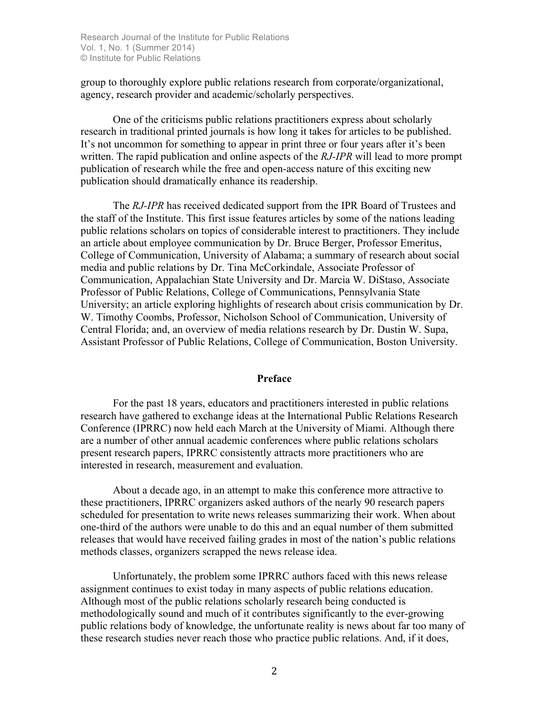group to thoroughly explore public relations research from corporate/organizational, agency, research provider and academic/scholarly perspectives.

One of the criticisms public relations practitioners express about scholarly research in traditional printed journals is how long it takes for articles to be published. It's not uncommon for something to appear in print three or four years after it's been written. The rapid publication and online aspects of the *RJ-IPR* will lead to more prompt publication of research while the free and open-access nature of this exciting new publication should dramatically enhance its readership.

The *RJ-IPR* has received dedicated support from the IPR Board of Trustees and the staff of the Institute. This first issue features articles by some of the nations leading public relations scholars on topics of considerable interest to practitioners. They include an article about employee communication by Dr. Bruce Berger, Professor Emeritus, College of Communication, University of Alabama; a summary of research about social media and public relations by Dr. Tina McCorkindale, Associate Professor of Communication, Appalachian State University and Dr. Marcia W. DiStaso, Associate Professor of Public Relations, College of Communications, Pennsylvania State University; an article exploring highlights of research about crisis communication by Dr. W. Timothy Coombs, Professor, Nicholson School of Communication, University of Central Florida; and, an overview of media relations research by Dr. Dustin W. Supa, Assistant Professor of Public Relations, College of Communication, Boston University.

#### **Preface**

For the past 18 years, educators and practitioners interested in public relations research have gathered to exchange ideas at the International Public Relations Research Conference (IPRRC) now held each March at the University of Miami. Although there are a number of other annual academic conferences where public relations scholars present research papers, IPRRC consistently attracts more practitioners who are interested in research, measurement and evaluation.

About a decade ago, in an attempt to make this conference more attractive to these practitioners, IPRRC organizers asked authors of the nearly 90 research papers scheduled for presentation to write news releases summarizing their work. When about one-third of the authors were unable to do this and an equal number of them submitted releases that would have received failing grades in most of the nation's public relations methods classes, organizers scrapped the news release idea.

Unfortunately, the problem some IPRRC authors faced with this news release assignment continues to exist today in many aspects of public relations education. Although most of the public relations scholarly research being conducted is methodologically sound and much of it contributes significantly to the ever-growing public relations body of knowledge, the unfortunate reality is news about far too many of these research studies never reach those who practice public relations. And, if it does,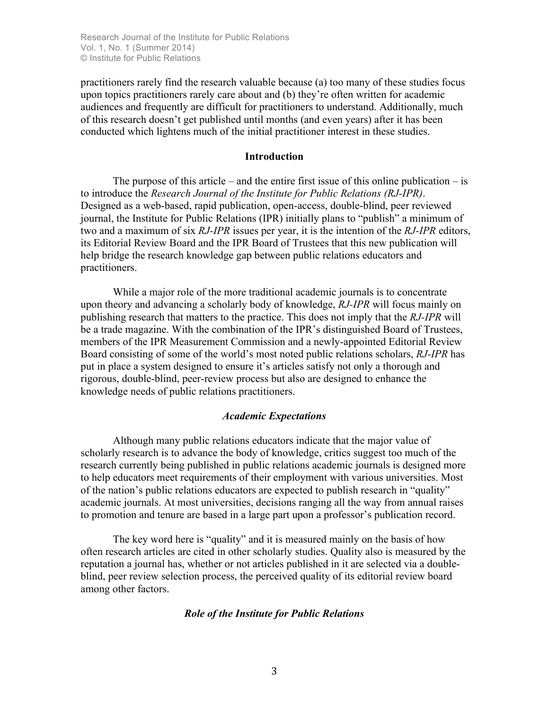practitioners rarely find the research valuable because (a) too many of these studies focus upon topics practitioners rarely care about and (b) they're often written for academic audiences and frequently are difficult for practitioners to understand. Additionally, much of this research doesn't get published until months (and even years) after it has been conducted which lightens much of the initial practitioner interest in these studies.

#### **Introduction**

The purpose of this article – and the entire first issue of this online publication – is to introduce the *Research Journal of the Institute for Public Relations (RJ-IPR)*. Designed as a web-based, rapid publication, open-access, double-blind, peer reviewed journal, the Institute for Public Relations (IPR) initially plans to "publish" a minimum of two and a maximum of six *RJ-IPR* issues per year, it is the intention of the *RJ-IPR* editors, its Editorial Review Board and the IPR Board of Trustees that this new publication will help bridge the research knowledge gap between public relations educators and practitioners.

While a major role of the more traditional academic journals is to concentrate upon theory and advancing a scholarly body of knowledge, *RJ-IPR* will focus mainly on publishing research that matters to the practice. This does not imply that the *RJ-IPR* will be a trade magazine. With the combination of the IPR's distinguished Board of Trustees, members of the IPR Measurement Commission and a newly-appointed Editorial Review Board consisting of some of the world's most noted public relations scholars, *RJ-IPR* has put in place a system designed to ensure it's articles satisfy not only a thorough and rigorous, double-blind, peer-review process but also are designed to enhance the knowledge needs of public relations practitioners.

#### *Academic Expectations*

Although many public relations educators indicate that the major value of scholarly research is to advance the body of knowledge, critics suggest too much of the research currently being published in public relations academic journals is designed more to help educators meet requirements of their employment with various universities. Most of the nation's public relations educators are expected to publish research in "quality" academic journals. At most universities, decisions ranging all the way from annual raises to promotion and tenure are based in a large part upon a professor's publication record.

The key word here is "quality" and it is measured mainly on the basis of how often research articles are cited in other scholarly studies. Quality also is measured by the reputation a journal has, whether or not articles published in it are selected via a doubleblind, peer review selection process, the perceived quality of its editorial review board among other factors.

#### *Role of the Institute for Public Relations*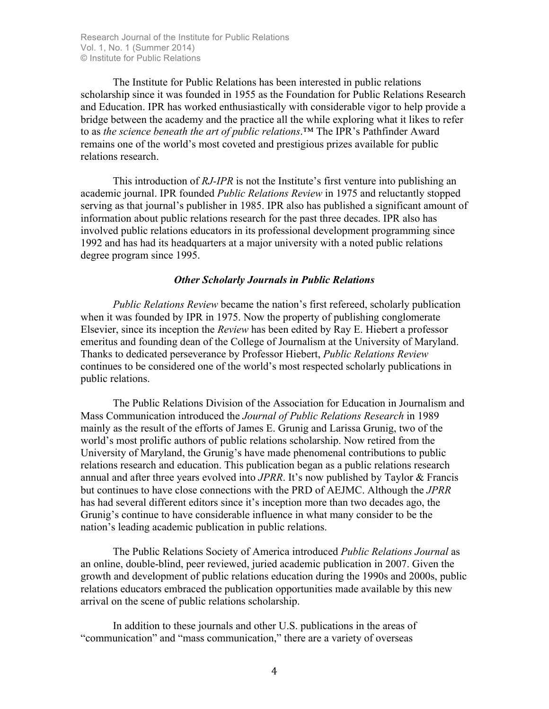The Institute for Public Relations has been interested in public relations scholarship since it was founded in 1955 as the Foundation for Public Relations Research and Education. IPR has worked enthusiastically with considerable vigor to help provide a bridge between the academy and the practice all the while exploring what it likes to refer to as *the science beneath the art of public relations*.™ The IPR's Pathfinder Award remains one of the world's most coveted and prestigious prizes available for public relations research.

This introduction of *RJ-IPR* is not the Institute's first venture into publishing an academic journal. IPR founded *Public Relations Review* in 1975 and reluctantly stopped serving as that journal's publisher in 1985. IPR also has published a significant amount of information about public relations research for the past three decades. IPR also has involved public relations educators in its professional development programming since 1992 and has had its headquarters at a major university with a noted public relations degree program since 1995.

#### *Other Scholarly Journals in Public Relations*

*Public Relations Review* became the nation's first refereed, scholarly publication when it was founded by IPR in 1975. Now the property of publishing conglomerate Elsevier, since its inception the *Review* has been edited by Ray E. Hiebert a professor emeritus and founding dean of the College of Journalism at the University of Maryland. Thanks to dedicated perseverance by Professor Hiebert, *Public Relations Review*  continues to be considered one of the world's most respected scholarly publications in public relations.

The Public Relations Division of the Association for Education in Journalism and Mass Communication introduced the *Journal of Public Relations Research* in 1989 mainly as the result of the efforts of James E. Grunig and Larissa Grunig, two of the world's most prolific authors of public relations scholarship. Now retired from the University of Maryland, the Grunig's have made phenomenal contributions to public relations research and education. This publication began as a public relations research annual and after three years evolved into *JPRR*. It's now published by Taylor & Francis but continues to have close connections with the PRD of AEJMC. Although the *JPRR*  has had several different editors since it's inception more than two decades ago, the Grunig's continue to have considerable influence in what many consider to be the nation's leading academic publication in public relations.

The Public Relations Society of America introduced *Public Relations Journal* as an online, double-blind, peer reviewed, juried academic publication in 2007. Given the growth and development of public relations education during the 1990s and 2000s, public relations educators embraced the publication opportunities made available by this new arrival on the scene of public relations scholarship.

In addition to these journals and other U.S. publications in the areas of "communication" and "mass communication," there are a variety of overseas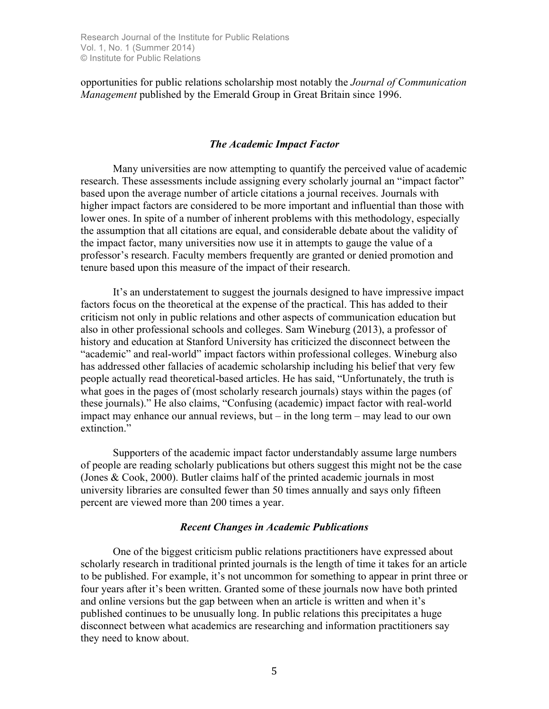opportunities for public relations scholarship most notably the *Journal of Communication Management* published by the Emerald Group in Great Britain since 1996.

## *The Academic Impact Factor*

Many universities are now attempting to quantify the perceived value of academic research. These assessments include assigning every scholarly journal an "impact factor" based upon the average number of article citations a journal receives. Journals with higher impact factors are considered to be more important and influential than those with lower ones. In spite of a number of inherent problems with this methodology, especially the assumption that all citations are equal, and considerable debate about the validity of the impact factor, many universities now use it in attempts to gauge the value of a professor's research. Faculty members frequently are granted or denied promotion and tenure based upon this measure of the impact of their research.

It's an understatement to suggest the journals designed to have impressive impact factors focus on the theoretical at the expense of the practical. This has added to their criticism not only in public relations and other aspects of communication education but also in other professional schools and colleges. Sam Wineburg (2013), a professor of history and education at Stanford University has criticized the disconnect between the "academic" and real-world" impact factors within professional colleges. Wineburg also has addressed other fallacies of academic scholarship including his belief that very few people actually read theoretical-based articles. He has said, "Unfortunately, the truth is what goes in the pages of (most scholarly research journals) stays within the pages (of these journals)." He also claims, "Confusing (academic) impact factor with real-world impact may enhance our annual reviews, but – in the long term – may lead to our own extinction."

Supporters of the academic impact factor understandably assume large numbers of people are reading scholarly publications but others suggest this might not be the case (Jones & Cook, 2000). Butler claims half of the printed academic journals in most university libraries are consulted fewer than 50 times annually and says only fifteen percent are viewed more than 200 times a year.

## *Recent Changes in Academic Publications*

One of the biggest criticism public relations practitioners have expressed about scholarly research in traditional printed journals is the length of time it takes for an article to be published. For example, it's not uncommon for something to appear in print three or four years after it's been written. Granted some of these journals now have both printed and online versions but the gap between when an article is written and when it's published continues to be unusually long. In public relations this precipitates a huge disconnect between what academics are researching and information practitioners say they need to know about.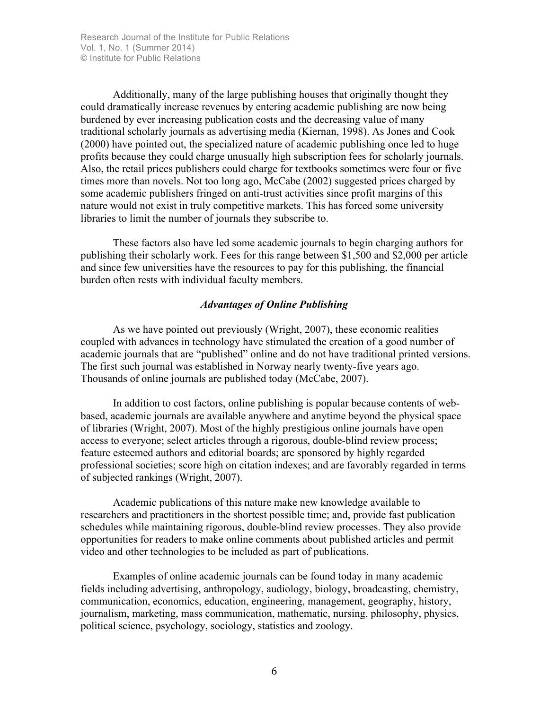Additionally, many of the large publishing houses that originally thought they could dramatically increase revenues by entering academic publishing are now being burdened by ever increasing publication costs and the decreasing value of many traditional scholarly journals as advertising media (Kiernan, 1998). As Jones and Cook (2000) have pointed out, the specialized nature of academic publishing once led to huge profits because they could charge unusually high subscription fees for scholarly journals. Also, the retail prices publishers could charge for textbooks sometimes were four or five times more than novels. Not too long ago, McCabe (2002) suggested prices charged by some academic publishers fringed on anti-trust activities since profit margins of this nature would not exist in truly competitive markets. This has forced some university libraries to limit the number of journals they subscribe to.

These factors also have led some academic journals to begin charging authors for publishing their scholarly work. Fees for this range between \$1,500 and \$2,000 per article and since few universities have the resources to pay for this publishing, the financial burden often rests with individual faculty members.

# *Advantages of Online Publishing*

As we have pointed out previously (Wright, 2007), these economic realities coupled with advances in technology have stimulated the creation of a good number of academic journals that are "published" online and do not have traditional printed versions. The first such journal was established in Norway nearly twenty-five years ago. Thousands of online journals are published today (McCabe, 2007).

In addition to cost factors, online publishing is popular because contents of webbased, academic journals are available anywhere and anytime beyond the physical space of libraries (Wright, 2007). Most of the highly prestigious online journals have open access to everyone; select articles through a rigorous, double-blind review process; feature esteemed authors and editorial boards; are sponsored by highly regarded professional societies; score high on citation indexes; and are favorably regarded in terms of subjected rankings (Wright, 2007).

Academic publications of this nature make new knowledge available to researchers and practitioners in the shortest possible time; and, provide fast publication schedules while maintaining rigorous, double-blind review processes. They also provide opportunities for readers to make online comments about published articles and permit video and other technologies to be included as part of publications.

Examples of online academic journals can be found today in many academic fields including advertising, anthropology, audiology, biology, broadcasting, chemistry, communication, economics, education, engineering, management, geography, history, journalism, marketing, mass communication, mathematic, nursing, philosophy, physics, political science, psychology, sociology, statistics and zoology.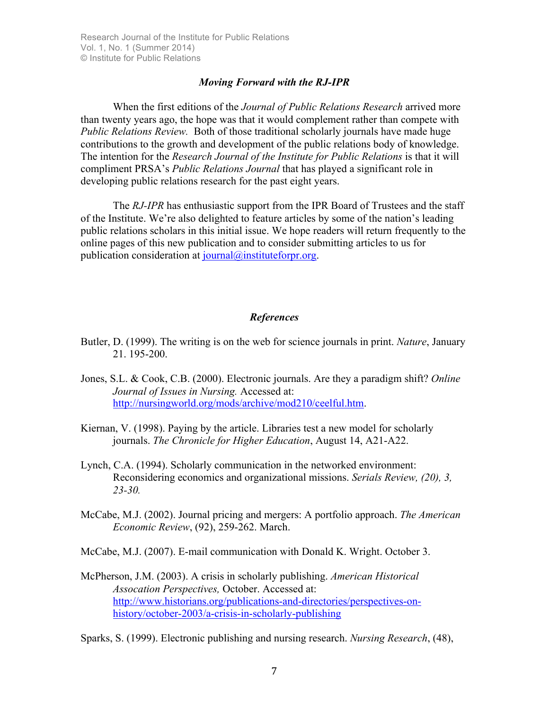### *Moving Forward with the RJ-IPR*

When the first editions of the *Journal of Public Relations Research* arrived more than twenty years ago, the hope was that it would complement rather than compete with *Public Relations Review.* Both of those traditional scholarly journals have made huge contributions to the growth and development of the public relations body of knowledge. The intention for the *Research Journal of the Institute for Public Relations* is that it will compliment PRSA's *Public Relations Journal* that has played a significant role in developing public relations research for the past eight years.

The *RJ-IPR* has enthusiastic support from the IPR Board of Trustees and the staff of the Institute. We're also delighted to feature articles by some of the nation's leading public relations scholars in this initial issue. We hope readers will return frequently to the online pages of this new publication and to consider submitting articles to us for publication consideration at journal@instituteforpr.org.

### *References*

- Butler, D. (1999). The writing is on the web for science journals in print. *Nature*, January 21. 195-200.
- Jones, S.L. & Cook, C.B. (2000). Electronic journals. Are they a paradigm shift? *Online Journal of Issues in Nursing.* Accessed at: http://nursingworld.org/mods/archive/mod210/ceelful.htm.
- Kiernan, V. (1998). Paying by the article. Libraries test a new model for scholarly journals. *The Chronicle for Higher Education*, August 14, A21-A22.
- Lynch, C.A. (1994). Scholarly communication in the networked environment: Reconsidering economics and organizational missions. *Serials Review, (20), 3, 23-30.*
- McCabe, M.J. (2002). Journal pricing and mergers: A portfolio approach. *The American Economic Review*, (92), 259-262. March.

McCabe, M.J. (2007). E-mail communication with Donald K. Wright. October 3.

McPherson, J.M. (2003). A crisis in scholarly publishing. *American Historical Assocation Perspectives,* October. Accessed at: http://www.historians.org/publications-and-directories/perspectives-onhistory/october-2003/a-crisis-in-scholarly-publishing

Sparks, S. (1999). Electronic publishing and nursing research. *Nursing Research*, (48),